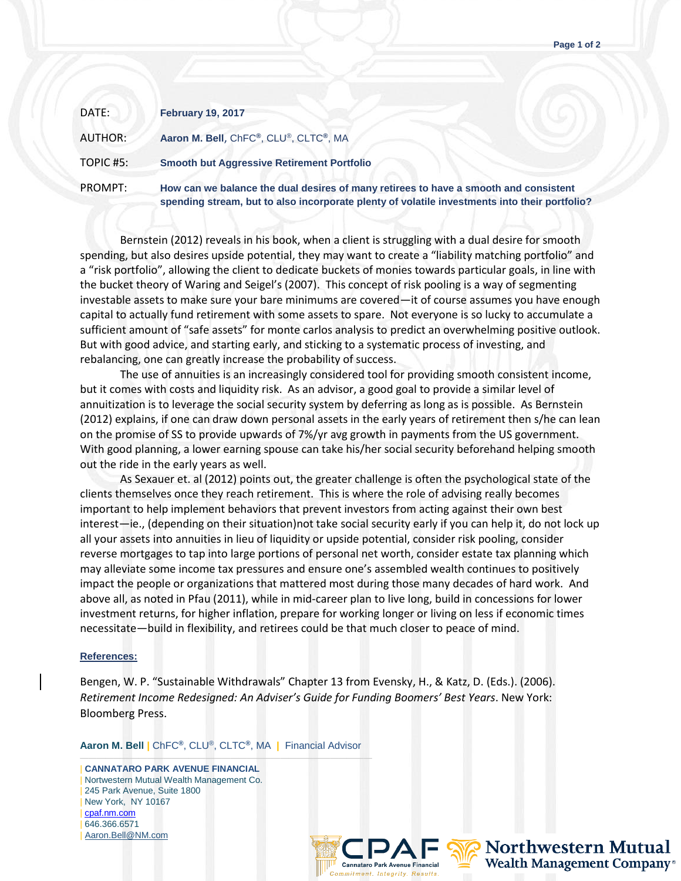| DATE:     | <b>February 19, 2017</b>                                                                                                                                                              |
|-----------|---------------------------------------------------------------------------------------------------------------------------------------------------------------------------------------|
| AUTHOR:   | Aaron M. Bell, ChFC®, CLU®, CLTC®, MA                                                                                                                                                 |
| TOPIC #5: | <b>Smooth but Aggressive Retirement Portfolio</b>                                                                                                                                     |
| PROMPT:   | How can we balance the dual desires of many retirees to have a smooth and consistent<br>spending stream, but to also incorporate plenty of volatile investments into their portfolio? |

Bernstein (2012) reveals in his book, when a client is struggling with a dual desire for smooth spending, but also desires upside potential, they may want to create a "liability matching portfolio" and a "risk portfolio", allowing the client to dedicate buckets of monies towards particular goals, in line with the bucket theory of Waring and Seigel's (2007). This concept of risk pooling is a way of segmenting investable assets to make sure your bare minimums are covered—it of course assumes you have enough capital to actually fund retirement with some assets to spare. Not everyone is so lucky to accumulate a sufficient amount of "safe assets" for monte carlos analysis to predict an overwhelming positive outlook. But with good advice, and starting early, and sticking to a systematic process of investing, and rebalancing, one can greatly increase the probability of success.

The use of annuities is an increasingly considered tool for providing smooth consistent income, but it comes with costs and liquidity risk. As an advisor, a good goal to provide a similar level of annuitization is to leverage the social security system by deferring as long as is possible. As Bernstein (2012) explains, if one can draw down personal assets in the early years of retirement then s/he can lean on the promise of SS to provide upwards of 7%/yr avg growth in payments from the US government. With good planning, a lower earning spouse can take his/her social security beforehand helping smooth out the ride in the early years as well.

As Sexauer et. al (2012) points out, the greater challenge is often the psychological state of the clients themselves once they reach retirement. This is where the role of advising really becomes important to help implement behaviors that prevent investors from acting against their own best interest—ie., (depending on their situation)not take social security early if you can help it, do not lock up all your assets into annuities in lieu of liquidity or upside potential, consider risk pooling, consider reverse mortgages to tap into large portions of personal net worth, consider estate tax planning which may alleviate some income tax pressures and ensure one's assembled wealth continues to positively impact the people or organizations that mattered most during those many decades of hard work. And above all, as noted in Pfau (2011), while in mid-career plan to live long, build in concessions for lower investment returns, for higher inflation, prepare for working longer or living on less if economic times necessitate—build in flexibility, and retirees could be that much closer to peace of mind.

## **References:**

Bengen, W. P. "Sustainable Withdrawals" Chapter 13 from Evensky, H., & Katz, D. (Eds.). (2006). *Retirement Income Redesigned: An Adviser's Guide for Funding Boomers' Best Years*. New York: Bloomberg Press.

**Aaron M. Bell |** ChFC**®**, CLU®, CLTC**®**, MA **|** Financial Advisor

——————————————————————————————————— | **CANNATARO PARK AVENUE FINANCIAL** | Nortwestern Mutual Wealth Management Co. 245 Park Avenue, Suite 1800 | New York, NY 10167 | [cpaf.nm.com](http://www.cpaf.nm.com/) | 646.366.6571 [Aaron.Bell@NM.com](mailto:Aaron.Bell@NM.com)